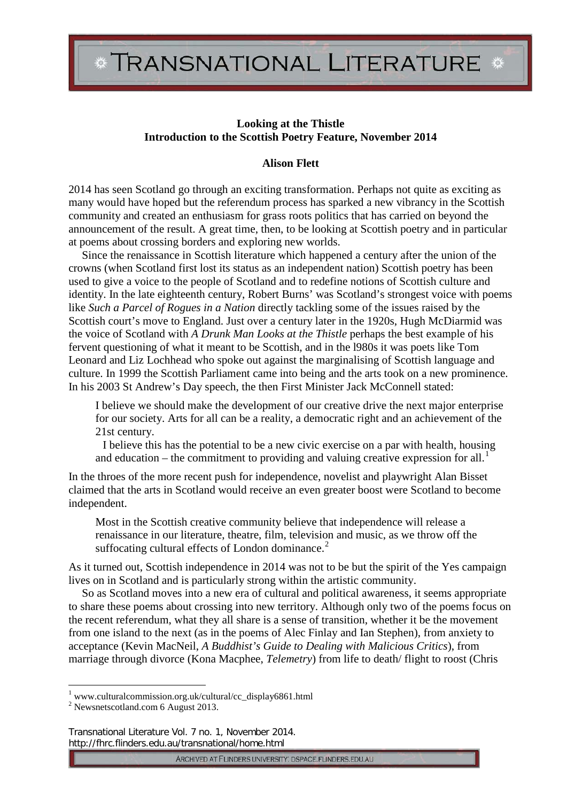## **Looking at the Thistle Introduction to the Scottish Poetry Feature, November 2014**

## **Alison Flett**

2014 has seen Scotland go through an exciting transformation. Perhaps not quite as exciting as many would have hoped but the referendum process has sparked a new vibrancy in the Scottish community and created an enthusiasm for grass roots politics that has carried on beyond the announcement of the result. A great time, then, to be looking at Scottish poetry and in particular at poems about crossing borders and exploring new worlds.

Since the renaissance in Scottish literature which happened a century after the union of the crowns (when Scotland first lost its status as an independent nation) Scottish poetry has been used to give a voice to the people of Scotland and to redefine notions of Scottish culture and identity. In the late eighteenth century, Robert Burns' was Scotland's strongest voice with poems like *Such a Parcel of Rogues in a Nation* directly tackling some of the issues raised by the Scottish court's move to England. Just over a century later in the 1920s, Hugh McDiarmid was the voice of Scotland with *A Drunk Man Looks at the Thistle* perhaps the best example of his fervent questioning of what it meant to be Scottish, and in the l980s it was poets like Tom Leonard and Liz Lochhead who spoke out against the marginalising of Scottish language and culture. In 1999 the Scottish Parliament came into being and the arts took on a new prominence. In his 2003 St Andrew's Day speech, the then First Minister Jack McConnell stated:

I believe we should make the development of our creative drive the next major enterprise for our society. Arts for all can be a reality, a democratic right and an achievement of the 21st century.

I believe this has the potential to be a new civic exercise on a par with health, housing and education – the commitment to providing and valuing creative expression for all.<sup>[1](#page-0-0)</sup>

In the throes of the more recent push for independence, novelist and playwright Alan Bisset claimed that the arts in Scotland would receive an even greater boost were Scotland to become independent.

Most in the Scottish creative community believe that independence will release a renaissance in our literature, theatre, film, television and music, as we throw off the suffocating cultural effects of London dominance. $2$ 

As it turned out, Scottish independence in 2014 was not to be but the spirit of the Yes campaign lives on in Scotland and is particularly strong within the artistic community.

So as Scotland moves into a new era of cultural and political awareness, it seems appropriate to share these poems about crossing into new territory. Although only two of the poems focus on the recent referendum, what they all share is a sense of transition, whether it be the movement from one island to the next (as in the poems of Alec Finlay and Ian Stephen), from anxiety to acceptance (Kevin MacNeil, *A Buddhist's Guide to Dealing with Malicious Critics*), from marriage through divorce (Kona Macphee, *Telemetry*) from life to death/ flight to roost (Chris

-

Transnational Literature Vol. 7 no. 1, November 2014. http://fhrc.flinders.edu.au/transnational/home.html

ARCHIVED AT FLINDERS UNIVERSITY: DSPACE.FLINDERS.EDU.AU

<sup>1</sup> www.culturalcommission.org.uk/cultural/cc\_display6861.html

<span id="page-0-1"></span><span id="page-0-0"></span><sup>2</sup> Newsnetscotland.com 6 August 2013.